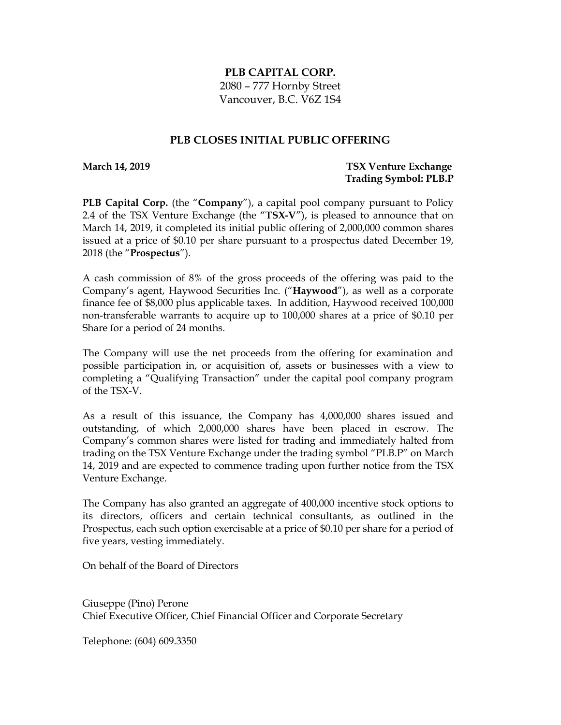## **PLB CAPITAL CORP.**

2080 – 777 Hornby Street Vancouver, B.C. V6Z 1S4

## **PLB CLOSES INITIAL PUBLIC OFFERING**

**March 14, 2019 TSX Venture Exchange Trading Symbol: PLB.P**

**PLB Capital Corp.** (the "**Company**"), a capital pool company pursuant to Policy 2.4 of the TSX Venture Exchange (the "**TSX-V**"), is pleased to announce that on March 14, 2019, it completed its initial public offering of 2,000,000 common shares issued at a price of \$0.10 per share pursuant to a prospectus dated December 19, 2018 (the "**Prospectus**").

A cash commission of 8% of the gross proceeds of the offering was paid to the Company's agent, Haywood Securities Inc. ("**Haywood**"), as well as a corporate finance fee of \$8,000 plus applicable taxes. In addition, Haywood received 100,000 non-transferable warrants to acquire up to 100,000 shares at a price of \$0.10 per Share for a period of 24 months.

The Company will use the net proceeds from the offering for examination and possible participation in, or acquisition of, assets or businesses with a view to completing a "Qualifying Transaction" under the capital pool company program of the TSX-V.

As a result of this issuance, the Company has 4,000,000 shares issued and outstanding, of which 2,000,000 shares have been placed in escrow. The Company's common shares were listed for trading and immediately halted from trading on the TSX Venture Exchange under the trading symbol "PLB.P" on March 14, 2019 and are expected to commence trading upon further notice from the TSX Venture Exchange.

The Company has also granted an aggregate of 400,000 incentive stock options to its directors, officers and certain technical consultants, as outlined in the Prospectus, each such option exercisable at a price of \$0.10 per share for a period of five years, vesting immediately.

On behalf of the Board of Directors

Giuseppe (Pino) Perone Chief Executive Officer, Chief Financial Officer and Corporate Secretary

Telephone: (604) 609.3350